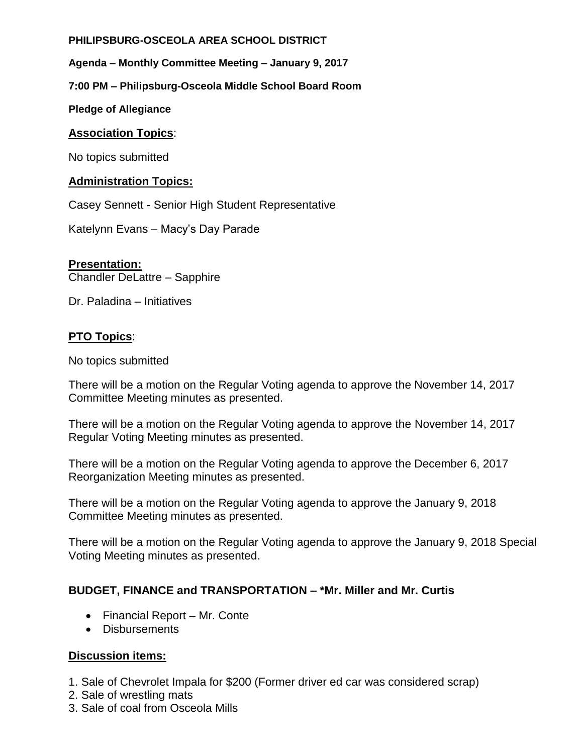### **PHILIPSBURG-OSCEOLA AREA SCHOOL DISTRICT**

**Agenda – Monthly Committee Meeting – January 9, 2017**

## **7:00 PM – Philipsburg-Osceola Middle School Board Room**

**Pledge of Allegiance**

### **Association Topics**:

No topics submitted

### **Administration Topics:**

Casey Sennett - Senior High Student Representative

Katelynn Evans – Macy's Day Parade

### **Presentation:**

Chandler DeLattre – Sapphire

Dr. Paladina – Initiatives

## **PTO Topics**:

No topics submitted

There will be a motion on the Regular Voting agenda to approve the November 14, 2017 Committee Meeting minutes as presented.

There will be a motion on the Regular Voting agenda to approve the November 14, 2017 Regular Voting Meeting minutes as presented.

There will be a motion on the Regular Voting agenda to approve the December 6, 2017 Reorganization Meeting minutes as presented.

There will be a motion on the Regular Voting agenda to approve the January 9, 2018 Committee Meeting minutes as presented.

There will be a motion on the Regular Voting agenda to approve the January 9, 2018 Special Voting Meeting minutes as presented.

## **BUDGET, FINANCE and TRANSPORTATION – \*Mr. Miller and Mr. Curtis**

- Financial Report Mr. Conte
- Disbursements

## **Discussion items:**

- 1. Sale of Chevrolet Impala for \$200 (Former driver ed car was considered scrap)
- 2. Sale of wrestling mats
- 3. Sale of coal from Osceola Mills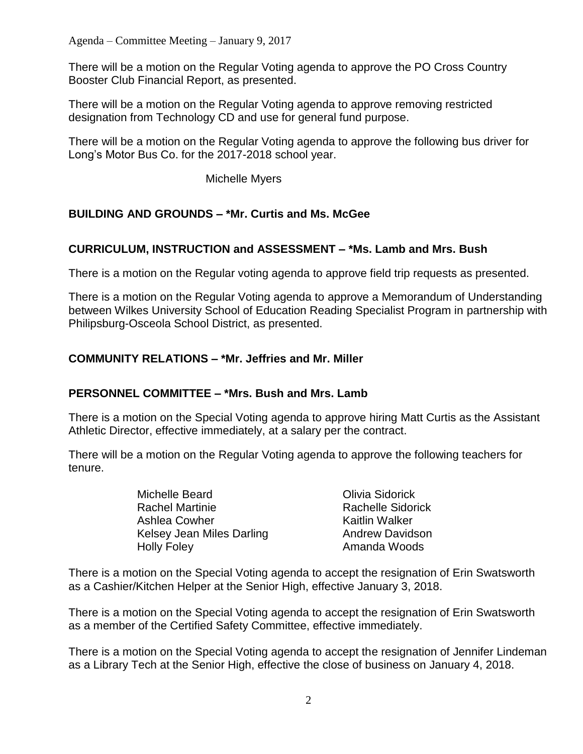There will be a motion on the Regular Voting agenda to approve the PO Cross Country Booster Club Financial Report, as presented.

There will be a motion on the Regular Voting agenda to approve removing restricted designation from Technology CD and use for general fund purpose.

There will be a motion on the Regular Voting agenda to approve the following bus driver for Long's Motor Bus Co. for the 2017-2018 school year.

Michelle Myers

# **BUILDING AND GROUNDS – \*Mr. Curtis and Ms. McGee**

# **CURRICULUM, INSTRUCTION and ASSESSMENT – \*Ms. Lamb and Mrs. Bush**

There is a motion on the Regular voting agenda to approve field trip requests as presented.

There is a motion on the Regular Voting agenda to approve a Memorandum of Understanding between Wilkes University School of Education Reading Specialist Program in partnership with Philipsburg-Osceola School District, as presented.

# **COMMUNITY RELATIONS – \*Mr. Jeffries and Mr. Miller**

# **PERSONNEL COMMITTEE – \*Mrs. Bush and Mrs. Lamb**

There is a motion on the Special Voting agenda to approve hiring Matt Curtis as the Assistant Athletic Director, effective immediately, at a salary per the contract.

There will be a motion on the Regular Voting agenda to approve the following teachers for tenure.

| Michelle Beard            | Olivia Sidorick          |
|---------------------------|--------------------------|
| <b>Rachel Martinie</b>    | <b>Rachelle Sidorick</b> |
| Ashlea Cowher             | <b>Kaitlin Walker</b>    |
| Kelsey Jean Miles Darling | <b>Andrew Davidson</b>   |
| <b>Holly Foley</b>        | Amanda Woods             |

There is a motion on the Special Voting agenda to accept the resignation of Erin Swatsworth as a Cashier/Kitchen Helper at the Senior High, effective January 3, 2018.

There is a motion on the Special Voting agenda to accept the resignation of Erin Swatsworth as a member of the Certified Safety Committee, effective immediately.

There is a motion on the Special Voting agenda to accept the resignation of Jennifer Lindeman as a Library Tech at the Senior High, effective the close of business on January 4, 2018.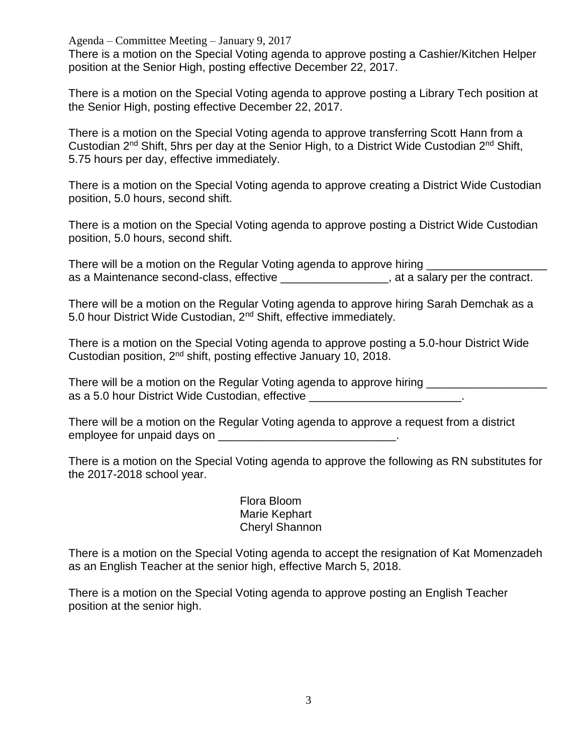Agenda – Committee Meeting – January 9, 2017

There is a motion on the Special Voting agenda to approve posting a Cashier/Kitchen Helper position at the Senior High, posting effective December 22, 2017.

There is a motion on the Special Voting agenda to approve posting a Library Tech position at the Senior High, posting effective December 22, 2017.

There is a motion on the Special Voting agenda to approve transferring Scott Hann from a Custodian 2nd Shift, 5hrs per day at the Senior High, to a District Wide Custodian 2nd Shift, 5.75 hours per day, effective immediately.

There is a motion on the Special Voting agenda to approve creating a District Wide Custodian position, 5.0 hours, second shift.

There is a motion on the Special Voting agenda to approve posting a District Wide Custodian position, 5.0 hours, second shift.

There will be a motion on the Regular Voting agenda to approve hiring as a Maintenance second-class, effective \_\_\_\_\_\_\_\_\_\_\_\_\_\_\_\_\_, at a salary per the contract.

There will be a motion on the Regular Voting agenda to approve hiring Sarah Demchak as a 5.0 hour District Wide Custodian, 2nd Shift, effective immediately.

There is a motion on the Special Voting agenda to approve posting a 5.0-hour District Wide Custodian position, 2nd shift, posting effective January 10, 2018.

There will be a motion on the Regular Voting agenda to approve hiring as a 5.0 hour District Wide Custodian, effective **with an article of the contract of the contract of the contract of the contract of the contract of the contract of the contract of the contract of the contract of the contr** 

There will be a motion on the Regular Voting agenda to approve a request from a district employee for unpaid days on **EXALL** 

There is a motion on the Special Voting agenda to approve the following as RN substitutes for the 2017-2018 school year.

> Flora Bloom Marie Kephart Cheryl Shannon

There is a motion on the Special Voting agenda to accept the resignation of Kat Momenzadeh as an English Teacher at the senior high, effective March 5, 2018.

There is a motion on the Special Voting agenda to approve posting an English Teacher position at the senior high.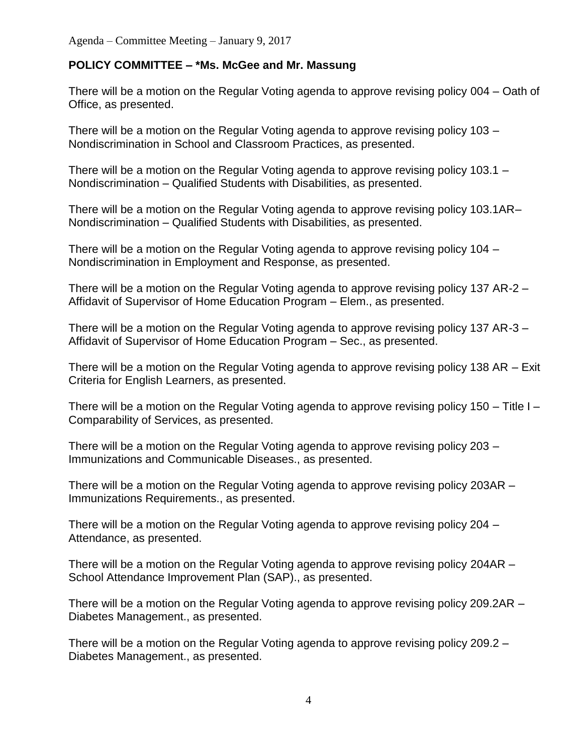## **POLICY COMMITTEE – \*Ms. McGee and Mr. Massung**

There will be a motion on the Regular Voting agenda to approve revising policy 004 – Oath of Office, as presented.

There will be a motion on the Regular Voting agenda to approve revising policy 103 – Nondiscrimination in School and Classroom Practices, as presented.

There will be a motion on the Regular Voting agenda to approve revising policy 103.1 – Nondiscrimination – Qualified Students with Disabilities, as presented.

There will be a motion on the Regular Voting agenda to approve revising policy 103.1AR– Nondiscrimination – Qualified Students with Disabilities, as presented.

There will be a motion on the Regular Voting agenda to approve revising policy 104 – Nondiscrimination in Employment and Response, as presented.

There will be a motion on the Regular Voting agenda to approve revising policy 137 AR-2 – Affidavit of Supervisor of Home Education Program – Elem., as presented.

There will be a motion on the Regular Voting agenda to approve revising policy 137 AR-3 – Affidavit of Supervisor of Home Education Program – Sec., as presented.

There will be a motion on the Regular Voting agenda to approve revising policy 138 AR – Exit Criteria for English Learners, as presented.

There will be a motion on the Regular Voting agenda to approve revising policy 150 – Title I – Comparability of Services, as presented.

There will be a motion on the Regular Voting agenda to approve revising policy 203 – Immunizations and Communicable Diseases., as presented.

There will be a motion on the Regular Voting agenda to approve revising policy 203AR – Immunizations Requirements., as presented.

There will be a motion on the Regular Voting agenda to approve revising policy 204 – Attendance, as presented.

There will be a motion on the Regular Voting agenda to approve revising policy 204AR – School Attendance Improvement Plan (SAP)., as presented.

There will be a motion on the Regular Voting agenda to approve revising policy 209.2AR – Diabetes Management., as presented.

There will be a motion on the Regular Voting agenda to approve revising policy 209.2 – Diabetes Management., as presented.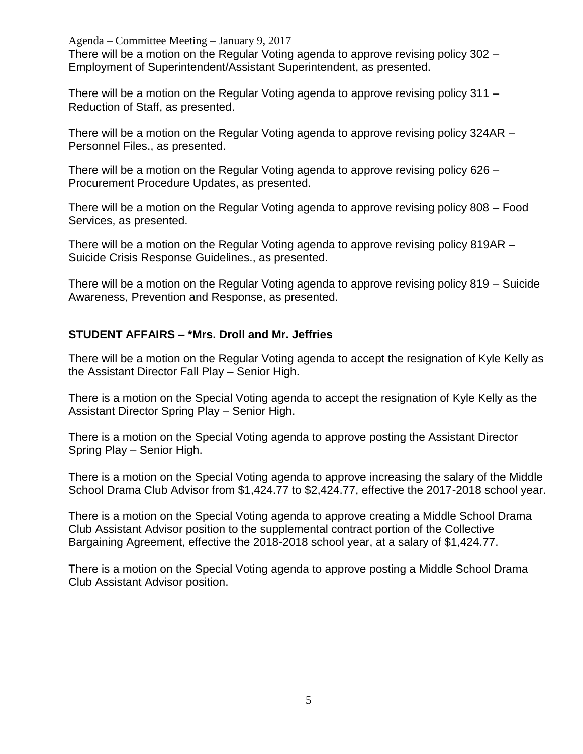Agenda – Committee Meeting – January 9, 2017 There will be a motion on the Regular Voting agenda to approve revising policy 302 – Employment of Superintendent/Assistant Superintendent, as presented.

There will be a motion on the Regular Voting agenda to approve revising policy 311 – Reduction of Staff, as presented.

There will be a motion on the Regular Voting agenda to approve revising policy 324AR – Personnel Files., as presented.

There will be a motion on the Regular Voting agenda to approve revising policy 626 – Procurement Procedure Updates, as presented.

There will be a motion on the Regular Voting agenda to approve revising policy 808 – Food Services, as presented.

There will be a motion on the Regular Voting agenda to approve revising policy 819AR – Suicide Crisis Response Guidelines., as presented.

There will be a motion on the Regular Voting agenda to approve revising policy 819 – Suicide Awareness, Prevention and Response, as presented.

## **STUDENT AFFAIRS – \*Mrs. Droll and Mr. Jeffries**

There will be a motion on the Regular Voting agenda to accept the resignation of Kyle Kelly as the Assistant Director Fall Play – Senior High.

There is a motion on the Special Voting agenda to accept the resignation of Kyle Kelly as the Assistant Director Spring Play – Senior High.

There is a motion on the Special Voting agenda to approve posting the Assistant Director Spring Play – Senior High.

There is a motion on the Special Voting agenda to approve increasing the salary of the Middle School Drama Club Advisor from \$1,424.77 to \$2,424.77, effective the 2017-2018 school year.

There is a motion on the Special Voting agenda to approve creating a Middle School Drama Club Assistant Advisor position to the supplemental contract portion of the Collective Bargaining Agreement, effective the 2018-2018 school year, at a salary of \$1,424.77.

There is a motion on the Special Voting agenda to approve posting a Middle School Drama Club Assistant Advisor position.